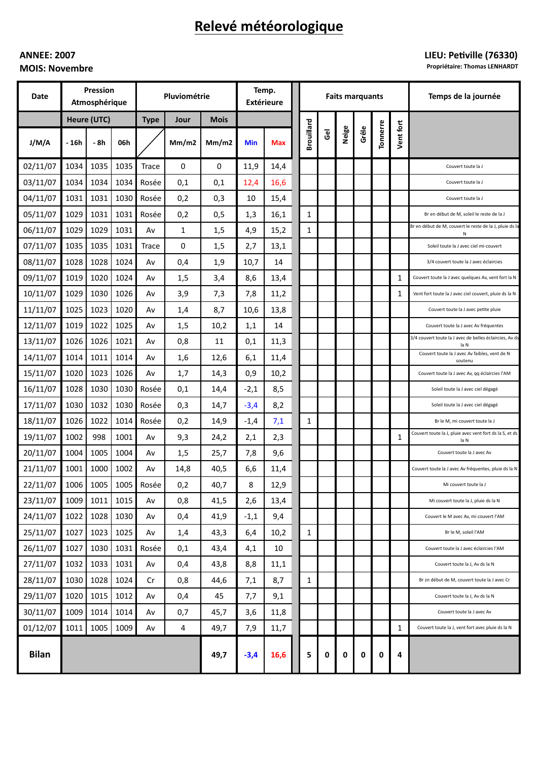# Relevé météorologique

## **ANNEE: 2007 MOIS: Novembre**

## LIEU: Petiville (76330)

Propriétaire: Thomas LENHARDT

| Date         | Pression<br>Atmosphérique |      |      | Pluviométrie |       |             | Temp.<br><b>Extérieure</b> |            | <b>Faits marquants</b> |                |       |       |          |           | Temps de la journée                                             |
|--------------|---------------------------|------|------|--------------|-------|-------------|----------------------------|------------|------------------------|----------------|-------|-------|----------|-----------|-----------------------------------------------------------------|
|              | Heure (UTC)               |      |      | <b>Type</b>  | Jour  | <b>Mois</b> |                            |            |                        |                |       |       |          |           |                                                                 |
| J/M/A        | - 16h                     | - 8h | 06h  |              | Mm/m2 | Mm/m2       | <b>Min</b>                 | <b>Max</b> | <b>Brouillard</b>      | $\overline{6}$ | Neige | Grêle | Tonnerre | Vent fort |                                                                 |
| 02/11/07     | 1034                      | 1035 | 1035 | Trace        | 0     | 0           | 11,9                       | 14,4       |                        |                |       |       |          |           | Couvert toute la J                                              |
| 03/11/07     | 1034                      | 1034 | 1034 | Rosée        | 0,1   | 0,1         | 12,4                       | 16,6       |                        |                |       |       |          |           | Couvert toute la J                                              |
| 04/11/07     | 1031                      | 1031 | 1030 | Rosée        | 0,2   | 0,3         | 10                         | 15,4       |                        |                |       |       |          |           | Couvert toute la J                                              |
| 05/11/07     | 1029                      | 1031 | 1031 | Rosée        | 0,2   | 0,5         | 1,3                        | 16,1       | $\mathbf{1}$           |                |       |       |          |           | Br en début de M, soleil le reste de la J                       |
| 06/11/07     | 1029                      | 1029 | 1031 | Av           | 1     | 1,5         | 4,9                        | 15,2       | $\mathbf{1}$           |                |       |       |          |           | Br en début de M, couvert le reste de la J, pluie ds la<br>Ν    |
| 07/11/07     | 1035                      | 1035 | 1031 | <b>Trace</b> | 0     | 1,5         | 2,7                        | 13,1       |                        |                |       |       |          |           | Soleil toute la J avec ciel mi-couvert                          |
| 08/11/07     | 1028                      | 1028 | 1024 | Av           | 0,4   | 1,9         | 10,7                       | 14         |                        |                |       |       |          |           | 3/4 couvert toute la J avec éclaircies                          |
| 09/11/07     | 1019                      | 1020 | 1024 | Av           | 1,5   | 3,4         | 8,6                        | 13,4       |                        |                |       |       |          | 1         | Couvert toute la J avec quelques Av, vent fort la N             |
| 10/11/07     | 1029                      | 1030 | 1026 | A٧           | 3,9   | 7,3         | 7,8                        | 11,2       |                        |                |       |       |          | 1         | Vent fort toute la J avec ciel couvert, pluie ds la N           |
| 11/11/07     | 1025                      | 1023 | 1020 | A٧           | 1,4   | 8,7         | 10,6                       | 13,8       |                        |                |       |       |          |           | Couvert toute la J avec petite pluie                            |
| 12/11/07     | 1019                      | 1022 | 1025 | A٧           | 1,5   | 10,2        | 1,1                        | 14         |                        |                |       |       |          |           | Couvert toute la J avec Av fréquentes                           |
| 13/11/07     | 1026                      | 1026 | 1021 | Av           | 0,8   | 11          | 0,1                        | 11,3       |                        |                |       |       |          |           | 3/4 couvert toute la J avec de belles éclaircies, Av ds<br>la N |
| 14/11/07     | 1014                      | 1011 | 1014 | Av           | 1,6   | 12,6        | 6,1                        | 11,4       |                        |                |       |       |          |           | Couvert toute la J avec Av faibles, vent de N<br>soutenu        |
| 15/11/07     | 1020                      | 1023 | 1026 | Av           | 1,7   | 14,3        | 0,9                        | 10,2       |                        |                |       |       |          |           | Couvert toute la J avec Av, qq éclaircies l'AM                  |
| 16/11/07     | 1028                      | 1030 | 1030 | Rosée        | 0,1   | 14,4        | $-2,1$                     | 8,5        |                        |                |       |       |          |           | Soleil toute la J avec ciel dégagé                              |
| 17/11/07     | 1030                      | 1032 | 1030 | Rosée        | 0,3   | 14,7        | $-3,4$                     | 8,2        |                        |                |       |       |          |           | Soleil toute la J avec ciel dégagé                              |
| 18/11/07     | 1026                      | 1022 | 1014 | Rosée        | 0,2   | 14,9        | $-1,4$                     | 7,1        | 1                      |                |       |       |          |           | Br le M, mi couvert toute la J                                  |
| 19/11/07     | 1002                      | 998  | 1001 | A٧           | 9,3   | 24,2        | 2,1                        | 2,3        |                        |                |       |       |          | 1         | Couvert toute la J, pluie avec vent fort ds la S, et ds<br>la N |
| 20/11/07     | 1004                      | 1005 | 1004 | A٧           | 1,5   | 25,7        | 7,8                        | 9,6        |                        |                |       |       |          |           | Couvert toute la J avec Av                                      |
| 21/11/07     | 1001                      | 1000 | 1002 | Av           | 14,8  | 40,5        | 6,6                        | 11,4       |                        |                |       |       |          |           | Couvert toute la J avec Av fréquentes, pluie ds la N            |
| 22/11/07     | 1006                      | 1005 |      | 1005 Rosée   | 0,2   | 40,7        | 8                          | 12,9       |                        |                |       |       |          |           | Mi couvert toute la J                                           |
| 23/11/07     | 1009                      | 1011 | 1015 | Av           | 0,8   | 41,5        | 2,6                        | 13,4       |                        |                |       |       |          |           | Mi couvert toute la J, pluie ds la N                            |
| 24/11/07     | 1022                      | 1028 | 1030 | Av           | 0,4   | 41,9        | $-1,1$                     | 9,4        |                        |                |       |       |          |           | Couvert le M avec Av, mi couvert l'AM                           |
| 25/11/07     | 1027                      | 1023 | 1025 | Av           | 1,4   | 43,3        | 6,4                        | 10,2       | $\mathbf{1}$           |                |       |       |          |           | Br le M, soleil l'AM                                            |
| 26/11/07     | 1027                      | 1030 | 1031 | Rosée        | 0,1   | 43,4        | 4,1                        | 10         |                        |                |       |       |          |           | Couvert toute la J avec éclaircies l'AM                         |
| 27/11/07     | 1032                      | 1033 | 1031 | Av           | 0,4   | 43,8        | 8,8                        | 11,1       |                        |                |       |       |          |           | Couvert toute la J, Av ds la N                                  |
| 28/11/07     | 1030                      | 1028 | 1024 | Cr           | 0,8   | 44,6        | 7,1                        | 8,7        | $\mathbf{1}$           |                |       |       |          |           | Br zn début de M, couvert toute la J avec Cr                    |
| 29/11/07     | 1020                      | 1015 | 1012 | Av           | 0,4   | 45          | 7,7                        | 9,1        |                        |                |       |       |          |           | Couvert toute la J, Av ds la N                                  |
| 30/11/07     | 1009                      | 1014 | 1014 | Av           | 0,7   | 45,7        | 3,6                        | 11,8       |                        |                |       |       |          |           | Couvert toute la J avec Av                                      |
| 01/12/07     | 1011                      | 1005 | 1009 | Av           | 4     | 49,7        | 7,9                        | 11,7       |                        |                |       |       |          | 1         | Couvert toute la J, vent fort avec pluie ds la N                |
| <b>Bilan</b> |                           |      |      |              |       | 49,7        | $-3,4$                     | 16,6       | 5                      | 0              | 0     | 0     | 0        | 4         |                                                                 |